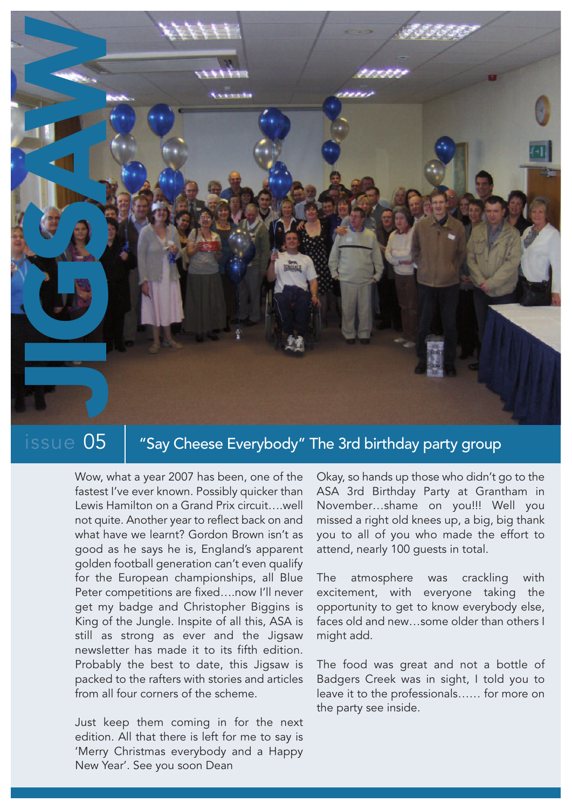

## $\frac{1}{10}$  issue  $05$   $\parallel$  "Say Cheese Everybody" The 3rd birthday party group

Wow, what a year 2007 has been, one of the fastest I've ever known. Possibly quicker than Lewis Hamilton on a Grand Prix circuit….well not quite. Another year to reflect back on and what have we learnt? Gordon Brown isn't as good as he says he is, England's apparent golden football generation can't even qualify for the European championships, all Blue Peter competitions are fixed….now I'll never get my badge and Christopher Biggins is King of the Jungle. Inspite of all this, ASA is still as strong as ever and the Jigsaw newsletter has made it to its fifth edition. Probably the best to date, this Jigsaw is packed to the rafters with stories and articles from all four corners of the scheme.

Just keep them coming in for the next edition. All that there is left for me to say is 'Merry Christmas everybody and a Happy New Year'. See you soon Dean

Okay, so hands up those who didn't go to the ASA 3rd Birthday Party at Grantham in November…shame on you!!! Well you missed a right old knees up, a big, big thank you to all of you who made the effort to attend, nearly 100 guests in total.

The atmosphere was crackling with excitement, with everyone taking the opportunity to get to know everybody else, faces old and new…some older than others I might add.

The food was great and not a bottle of Badgers Creek was in sight, I told you to leave it to the professionals…… for more on the party see inside.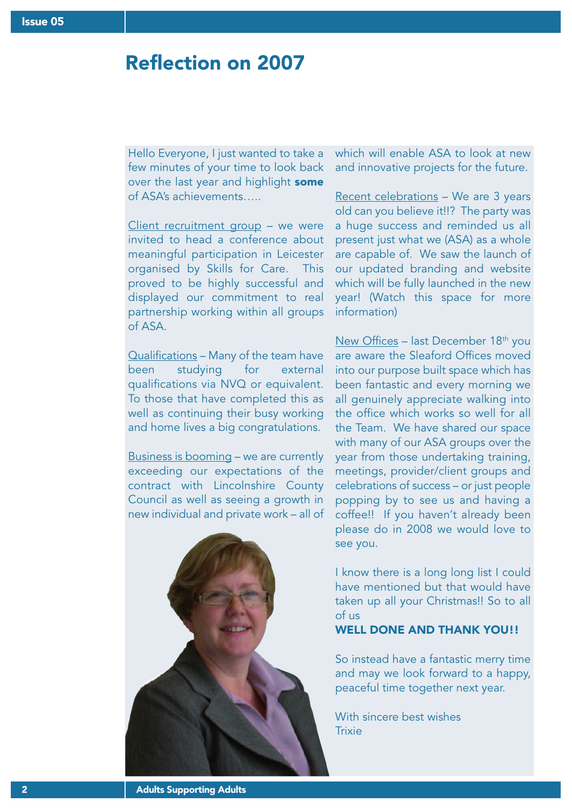## Reflection on 2007

Hello Everyone, I just wanted to take a few minutes of your time to look back over the last year and highlight some of ASA's achievements…..

Client recruitment group – we were invited to head a conference about meaningful participation in Leicester organised by Skills for Care. This proved to be highly successful and displayed our commitment to real partnership working within all groups of ASA.

Qualifications – Many of the team have been studying for external qualifications via NVQ or equivalent. To those that have completed this as well as continuing their busy working and home lives a big congratulations.

Business is booming – we are currently exceeding our expectations of the contract with Lincolnshire County Council as well as seeing a growth in new individual and private work – all of



which will enable ASA to look at new and innovative projects for the future.

Recent celebrations - We are 3 years old can you believe it!!? The party was a huge success and reminded us all present just what we (ASA) as a whole are capable of. We saw the launch of our updated branding and website which will be fully launched in the new year! (Watch this space for more information)

New Offices – last December  $18<sup>th</sup>$  you are aware the Sleaford Offices moved into our purpose built space which has been fantastic and every morning we all genuinely appreciate walking into the office which works so well for all the Team. We have shared our space with many of our ASA groups over the year from those undertaking training, meetings, provider/client groups and celebrations of success – or just people popping by to see us and having a coffee!! If you haven't already been please do in 2008 we would love to see you.

I know there is a long long list I could have mentioned but that would have taken up all your Christmas!! So to all of us

WELL DONE AND THANK YOU!!

So instead have a fantastic merry time and may we look forward to a happy, peaceful time together next year.

With sincere best wishes **Trixie**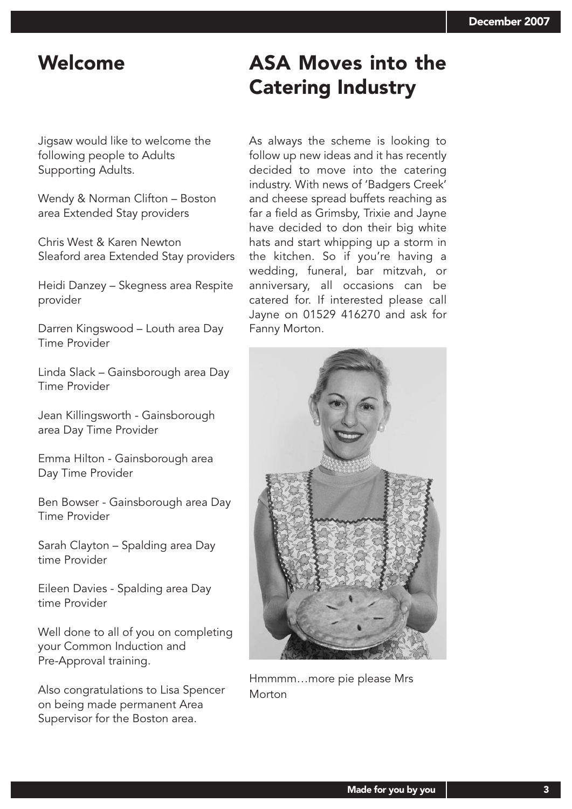## Welcome **ASA Moves into the** Catering Industry

Jigsaw would like to welcome the following people to Adults Supporting Adults.

Wendy & Norman Clifton – Boston area Extended Stay providers

Chris West & Karen Newton Sleaford area Extended Stay providers

Heidi Danzey – Skegness area Respite provider

Darren Kingswood – Louth area Day Time Provider

Linda Slack – Gainsborough area Day Time Provider

Jean Killingsworth - Gainsborough area Day Time Provider

Emma Hilton - Gainsborough area Day Time Provider

Ben Bowser - Gainsborough area Day Time Provider

Sarah Clayton – Spalding area Day time Provider

Eileen Davies - Spalding area Day time Provider

Well done to all of you on completing your Common Induction and Pre-Approval training.

Also congratulations to Lisa Spencer on being made permanent Area Supervisor for the Boston area.

As always the scheme is looking to follow up new ideas and it has recently decided to move into the catering industry. With news of 'Badgers Creek' and cheese spread buffets reaching as far a field as Grimsby, Trixie and Jayne have decided to don their big white hats and start whipping up a storm in the kitchen. So if you're having a wedding, funeral, bar mitzvah, or anniversary, all occasions can be catered for. If interested please call Jayne on 01529 416270 and ask for Fanny Morton.



Hmmmm…more pie please Mrs Morton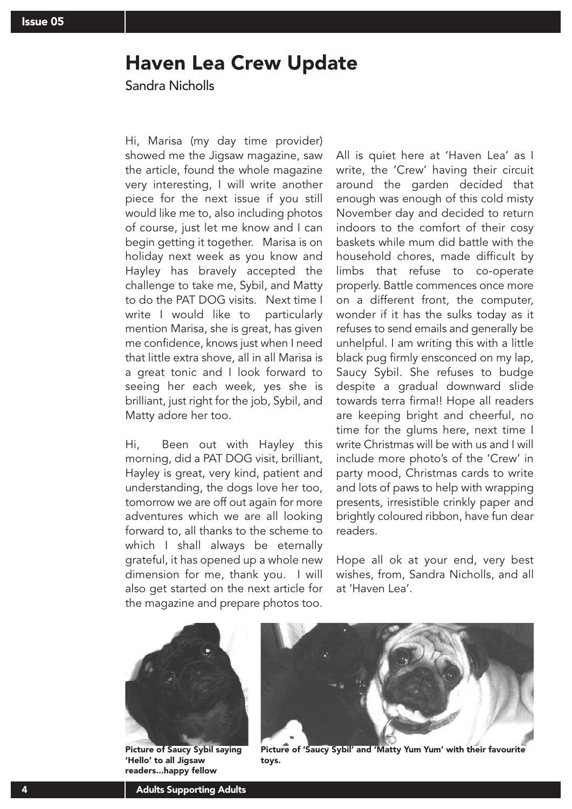### Haven Lea Crew Update

Sandra Nicholls

Hi, Marisa (my day time provider) showed me the Jigsaw magazine, saw the article, found the whole magazine very interesting, I will write another piece for the next issue if you still would like me to, also including photos of course, just let me know and I can begin getting it together. Marisa is on holiday next week as you know and Hayley has bravely accepted the challenge to take me, Sybil, and Matty to do the PAT DOG visits. Next time I write I would like to particularly mention Marisa, she is great, has given me confidence, knows just when I need that little extra shove, all in all Marisa is a great tonic and I look forward to seeing her each week, yes she is brilliant, just right for the job, Sybil, and Matty adore her too.

Hi, Been out with Hayley this morning, did a PAT DOG visit, brilliant, Hayley is great, very kind, patient and understanding, the dogs love her too, tomorrow we are off out again for more adventures which we are all looking forward to, all thanks to the scheme to which I shall always be eternally grateful, it has opened up a whole new dimension for me, thank you. I will also get started on the next article for the magazine and prepare photos too.

All is quiet here at 'Haven Lea' as I write, the 'Crew' having their circuit around the garden decided that enough was enough of this cold misty November day and decided to return indoors to the comfort of their cosy baskets while mum did battle with the household chores, made difficult by limbs that refuse to co-operate properly. Battle commences once more on a different front, the computer, wonder if it has the sulks today as it refuses to send emails and generally be unhelpful. I am writing this with a little black pug firmly ensconced on my lap, Saucy Sybil. She refuses to budge despite a gradual downward slide towards terra firma!! Hope all readers are keeping bright and cheerful, no time for the glums here, next time I write Christmas will be with us and I will include more photo's of the 'Crew' in party mood, Christmas cards to write and lots of paws to help with wrapping presents, irresistible crinkly paper and brightly coloured ribbon, have fun dear readers.

Hope all ok at your end, very best wishes, from, Sandra Nicholls, and all at 'Haven Lea'.



Picture of Saucy Sybil saying 'Hello' to all Jigsaw readers...happy fellow



Picture of 'Saucy Sybil' and 'Matty Yum Yum' with their favourite toys.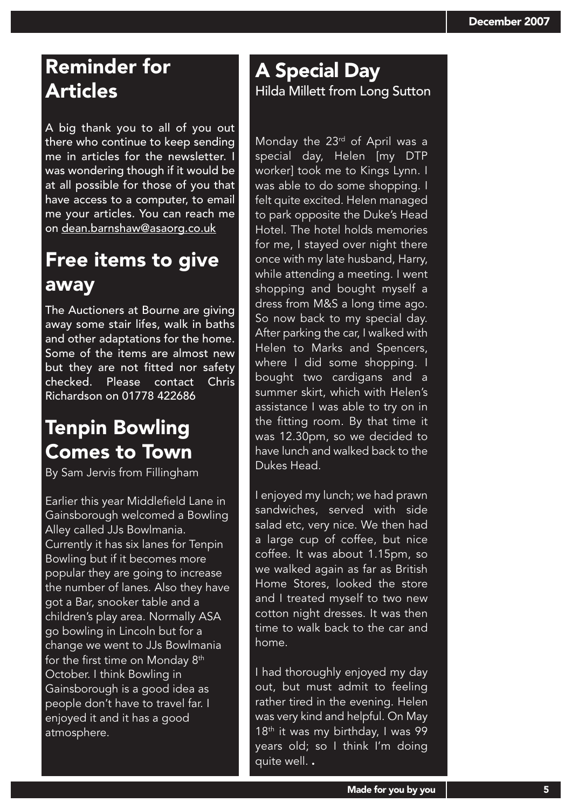# Reminder for Articles

A big thank you to all of you out there who continue to keep sending me in articles for the newsletter. I was wondering though if it would be at all possible for those of you that have access to a computer, to email me your articles. You can reach me on dean.barnshaw@asaorg.co.uk

## Free items to give away

The Auctioners at Bourne are giving away some stair lifes, walk in baths and other adaptations for the home. Some of the items are almost new but they are not fitted nor safety checked. Please contact Chris Richardson on 01778 422686

## Tenpin Bowling Comes to Town

By Sam Jervis from Fillingham

Earlier this year Middlefield Lane in Gainsborough welcomed a Bowling Alley called JJs Bowlmania. Currently it has six lanes for Tenpin Bowling but if it becomes more popular they are going to increase the number of lanes. Also they have got a Bar, snooker table and a children's play area. Normally ASA go bowling in Lincoln but for a change we went to JJs Bowlmania for the first time on Monday 8<sup>th</sup> October. I think Bowling in Gainsborough is a good idea as people don't have to travel far. I enjoyed it and it has a good atmosphere.

### A Special Day Hilda Millett from Long Sutton

Monday the 23rd of April was a special day, Helen [my DTP worker] took me to Kings Lynn. I was able to do some shopping. I felt quite excited. Helen managed to park opposite the Duke's Head Hotel. The hotel holds memories for me, I stayed over night there once with my late husband, Harry, while attending a meeting. I went shopping and bought myself a dress from M&S a long time ago. So now back to my special day. After parking the car, I walked with Helen to Marks and Spencers, where I did some shopping. I bought two cardigans and a summer skirt, which with Helen's assistance I was able to try on in the fitting room. By that time it was 12.30pm, so we decided to have lunch and walked back to the Dukes Head.

I enjoyed my lunch; we had prawn sandwiches, served with side salad etc, very nice. We then had a large cup of coffee, but nice coffee. It was about 1.15pm, so we walked again as far as British Home Stores, looked the store and I treated myself to two new cotton night dresses. It was then time to walk back to the car and home.

I had thoroughly enjoyed my day out, but must admit to feeling rather tired in the evening. Helen was very kind and helpful. On May 18<sup>th</sup> it was my birthday, I was 99 years old; so I think I'm doing quite well. .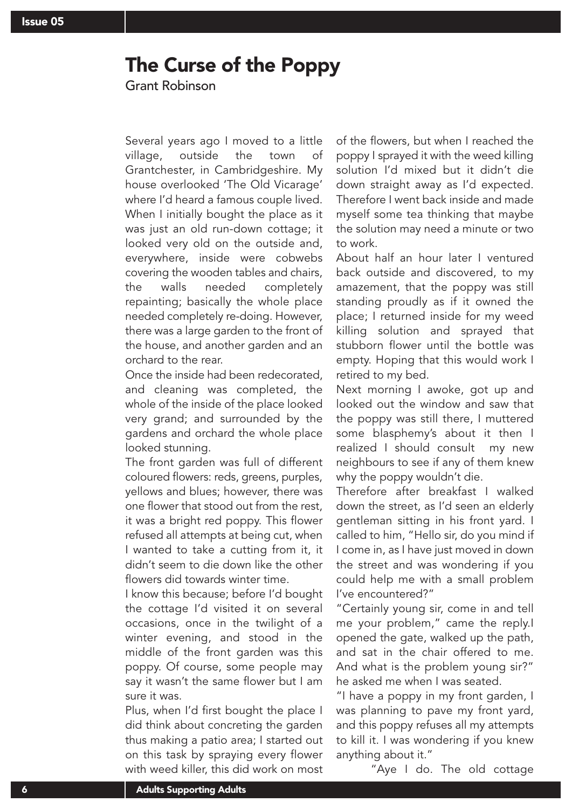### The Curse of the Poppy

Grant Robinson

Several years ago I moved to a little village, outside the town of Grantchester, in Cambridgeshire. My house overlooked 'The Old Vicarage' where I'd heard a famous couple lived. When I initially bought the place as it was just an old run-down cottage; it looked very old on the outside and, everywhere, inside were cobwebs covering the wooden tables and chairs, the walls needed completely repainting; basically the whole place needed completely re-doing. However, there was a large garden to the front of the house, and another garden and an orchard to the rear.

Once the inside had been redecorated, and cleaning was completed, the whole of the inside of the place looked very grand; and surrounded by the gardens and orchard the whole place looked stunning.

The front garden was full of different coloured flowers: reds, greens, purples, yellows and blues; however, there was one flower that stood out from the rest, it was a bright red poppy. This flower refused all attempts at being cut, when I wanted to take a cutting from it, it didn't seem to die down like the other flowers did towards winter time.

I know this because; before I'd bought the cottage I'd visited it on several occasions, once in the twilight of a winter evening, and stood in the middle of the front garden was this poppy. Of course, some people may say it wasn't the same flower but I am sure it was.

Plus, when I'd first bought the place I did think about concreting the garden thus making a patio area; I started out on this task by spraying every flower with weed killer, this did work on most of the flowers, but when I reached the poppy I sprayed it with the weed killing solution I'd mixed but it didn't die down straight away as I'd expected. Therefore I went back inside and made myself some tea thinking that maybe the solution may need a minute or two to work.

About half an hour later I ventured back outside and discovered, to my amazement, that the poppy was still standing proudly as if it owned the place; I returned inside for my weed killing solution and sprayed that stubborn flower until the bottle was empty. Hoping that this would work I retired to my bed.

Next morning I awoke, got up and looked out the window and saw that the poppy was still there, I muttered some blasphemy's about it then I realized I should consult my new neighbours to see if any of them knew why the poppy wouldn't die.

Therefore after breakfast I walked down the street, as I'd seen an elderly gentleman sitting in his front yard. I called to him, "Hello sir, do you mind if I come in, as I have just moved in down the street and was wondering if you could help me with a small problem I've encountered?"

"Certainly young sir, come in and tell me your problem," came the reply.I opened the gate, walked up the path, and sat in the chair offered to me. And what is the problem young sir?" he asked me when I was seated.

"I have a poppy in my front garden, I was planning to pave my front yard, and this poppy refuses all my attempts to kill it. I was wondering if you knew anything about it."

"Aye I do. The old cottage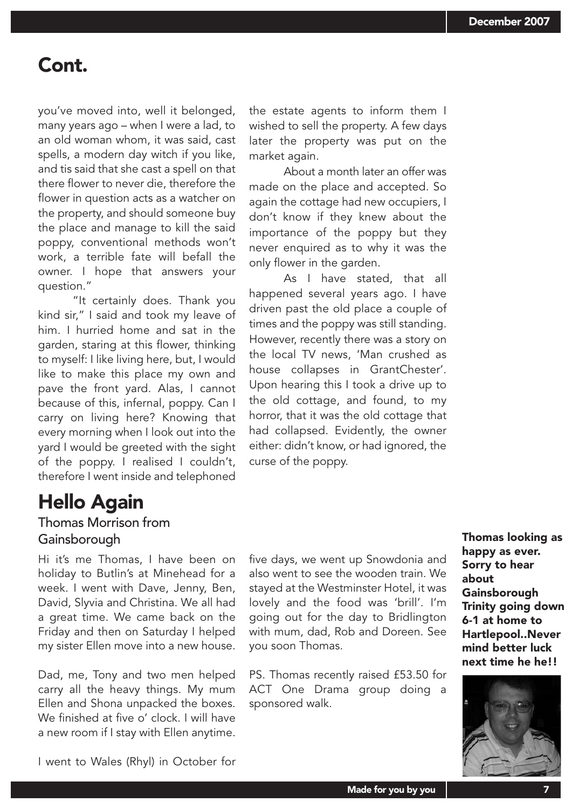### Cont.

you've moved into, well it belonged, many years ago – when I were a lad, to an old woman whom, it was said, cast spells, a modern day witch if you like, and tis said that she cast a spell on that there flower to never die, therefore the flower in question acts as a watcher on the property, and should someone buy the place and manage to kill the said poppy, conventional methods won't work, a terrible fate will befall the owner. I hope that answers your question."

"It certainly does. Thank you kind sir," I said and took my leave of him. I hurried home and sat in the garden, staring at this flower, thinking to myself: I like living here, but, I would like to make this place my own and pave the front yard. Alas, I cannot because of this, infernal, poppy. Can I carry on living here? Knowing that every morning when I look out into the yard I would be greeted with the sight of the poppy. I realised I couldn't, therefore I went inside and telephoned

## Hello Again

### Thomas Morrison from Gainsborough **Thomas looking as a struck of the Contract of Thomas looking as**

Hi it's me Thomas, I have been on holiday to Butlin's at Minehead for a week. I went with Dave, Jenny, Ben, David, Slyvia and Christina. We all had a great time. We came back on the Friday and then on Saturday I helped my sister Ellen move into a new house.

Dad, me, Tony and two men helped carry all the heavy things. My mum Ellen and Shona unpacked the boxes. We finished at five o' clock. I will have a new room if I stay with Ellen anytime. the estate agents to inform them I wished to sell the property. A few days later the property was put on the market again.

About a month later an offer was made on the place and accepted. So again the cottage had new occupiers, I don't know if they knew about the importance of the poppy but they never enquired as to why it was the only flower in the garden.

As I have stated, that all happened several years ago. I have driven past the old place a couple of times and the poppy was still standing. However, recently there was a story on the local TV news, 'Man crushed as house collapses in GrantChester'. Upon hearing this I took a drive up to the old cottage, and found, to my horror, that it was the old cottage that had collapsed. Evidently, the owner either: didn't know, or had ignored, the curse of the poppy.

five days, we went up Snowdonia and also went to see the wooden train. We stayed at the Westminster Hotel, it was lovely and the food was 'brill'. I'm going out for the day to Bridlington with mum, dad, Rob and Doreen. See you soon Thomas.

PS. Thomas recently raised £53.50 for ACT One Drama group doing a sponsored walk.

happy as ever. Sorry to hear about **Gainsborough** Trinity going down 6-1 at home to Hartlepool..Never mind better luck next time he he!!



I went to Wales (Rhyl) in October for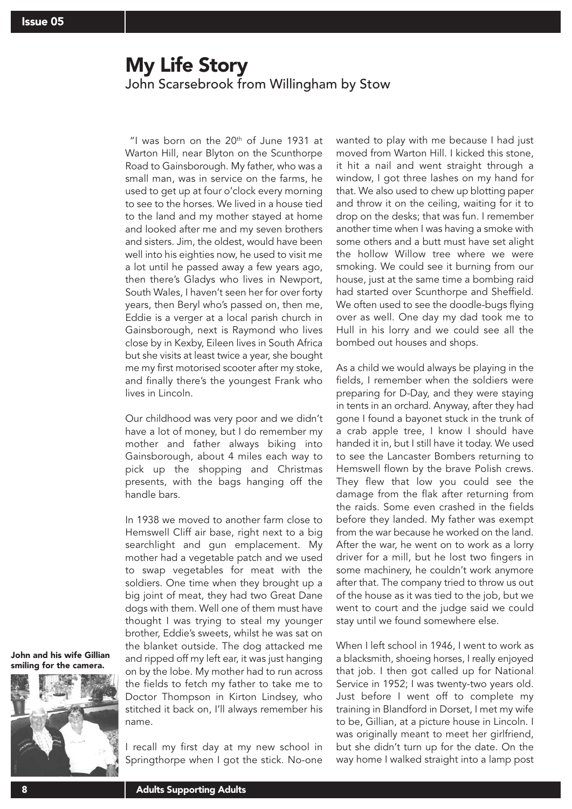### My Life Story John Scarsebrook from Willingham by Stow

"I was born on the  $20<sup>th</sup>$  of June 1931 at Warton Hill, near Blyton on the Scunthorpe Road to Gainsborough. My father, who was a small man, was in service on the farms, he used to get up at four o'clock every morning to see to the horses. We lived in a house tied to the land and my mother stayed at home and looked after me and my seven brothers and sisters. Jim, the oldest, would have been well into his eighties now, he used to visit me a lot until he passed away a few years ago, then there's Gladys who lives in Newport, South Wales, I haven't seen her for over forty years, then Beryl who's passed on, then me, Eddie is a verger at a local parish church in Gainsborough, next is Raymond who lives close by in Kexby, Eileen lives in South Africa but she visits at least twice a year, she bought me my first motorised scooter after my stoke, and finally there's the youngest Frank who lives in Lincoln.

Our childhood was very poor and we didn't have a lot of money, but I do remember my mother and father always biking into Gainsborough, about 4 miles each way to pick up the shopping and Christmas presents, with the bags hanging off the handle bars.

In 1938 we moved to another farm close to Hemswell Cliff air base, right next to a big searchlight and gun emplacement. My mother had a vegetable patch and we used to swap vegetables for meat with the soldiers. One time when they brought up a big joint of meat, they had two Great Dane dogs with them. Well one of them must have thought I was trying to steal my younger brother, Eddie's sweets, whilst he was sat on the blanket outside. The dog attacked me and ripped off my left ear, it was just hanging on by the lobe. My mother had to run across the fields to fetch my father to take me to Doctor Thompson in Kirton Lindsey, who stitched it back on, I'll always remember his name.

John and his wife Gillian smiling for the camera.



I recall my first day at my new school in Springthorpe when I got the stick. No-one wanted to play with me because I had just moved from Warton Hill. I kicked this stone, it hit a nail and went straight through a window, I got three lashes on my hand for that. We also used to chew up blotting paper and throw it on the ceiling, waiting for it to drop on the desks; that was fun. I remember another time when I was having a smoke with some others and a butt must have set alight the hollow Willow tree where we were smoking. We could see it burning from our house, just at the same time a bombing raid had started over Scunthorpe and Sheffield. We often used to see the doodle-bugs flying over as well. One day my dad took me to Hull in his lorry and we could see all the bombed out houses and shops.

As a child we would always be playing in the fields, I remember when the soldiers were preparing for D-Day, and they were staying in tents in an orchard. Anyway, after they had gone I found a bayonet stuck in the trunk of a crab apple tree, I know I should have handed it in, but I still have it today. We used to see the Lancaster Bombers returning to Hemswell flown by the brave Polish crews. They flew that low you could see the damage from the flak after returning from the raids. Some even crashed in the fields before they landed. My father was exempt from the war because he worked on the land. After the war, he went on to work as a lorry driver for a mill, but he lost two fingers in some machinery, he couldn't work anymore after that. The company tried to throw us out of the house as it was tied to the job, but we went to court and the judge said we could stay until we found somewhere else.

When I left school in 1946, I went to work as a blacksmith, shoeing horses, I really enjoyed that job. I then got called up for National Service in 1952; I was twenty-two years old. Just before I went off to complete my training in Blandford in Dorset, I met my wife to be, Gillian, at a picture house in Lincoln. I was originally meant to meet her girlfriend, but she didn't turn up for the date. On the way home I walked straight into a lamp post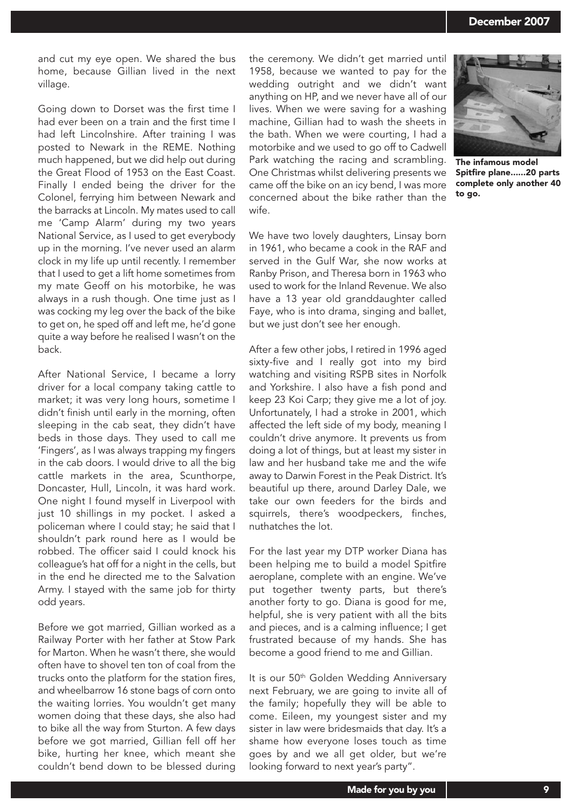and cut my eye open. We shared the bus home, because Gillian lived in the next village.

Going down to Dorset was the first time I had ever been on a train and the first time I had left Lincolnshire. After training I was posted to Newark in the REME. Nothing much happened, but we did help out during the Great Flood of 1953 on the East Coast. Finally I ended being the driver for the Colonel, ferrying him between Newark and the barracks at Lincoln. My mates used to call me 'Camp Alarm' during my two years National Service, as I used to get everybody up in the morning. I've never used an alarm clock in my life up until recently. I remember that I used to get a lift home sometimes from my mate Geoff on his motorbike, he was always in a rush though. One time just as I was cocking my leg over the back of the bike to get on, he sped off and left me, he'd gone quite a way before he realised I wasn't on the back.

After National Service, I became a lorry driver for a local company taking cattle to market; it was very long hours, sometime I didn't finish until early in the morning, often sleeping in the cab seat, they didn't have beds in those days. They used to call me 'Fingers', as I was always trapping my fingers in the cab doors. I would drive to all the big cattle markets in the area, Scunthorpe, Doncaster, Hull, Lincoln, it was hard work. One night I found myself in Liverpool with just 10 shillings in my pocket. I asked a policeman where I could stay; he said that I shouldn't park round here as I would be robbed. The officer said I could knock his colleague's hat off for a night in the cells, but in the end he directed me to the Salvation Army. I stayed with the same job for thirty odd years.

Before we got married, Gillian worked as a Railway Porter with her father at Stow Park for Marton. When he wasn't there, she would often have to shovel ten ton of coal from the trucks onto the platform for the station fires, and wheelbarrow 16 stone bags of corn onto the waiting lorries. You wouldn't get many women doing that these days, she also had to bike all the way from Sturton. A few days before we got married, Gillian fell off her bike, hurting her knee, which meant she couldn't bend down to be blessed during the ceremony. We didn't get married until 1958, because we wanted to pay for the wedding outright and we didn't want anything on HP, and we never have all of our lives. When we were saving for a washing machine, Gillian had to wash the sheets in the bath. When we were courting, I had a motorbike and we used to go off to Cadwell Park watching the racing and scrambling. One Christmas whilst delivering presents we came off the bike on an icy bend, I was more concerned about the bike rather than the wife.

We have two lovely daughters, Linsay born in 1961, who became a cook in the RAF and served in the Gulf War, she now works at Ranby Prison, and Theresa born in 1963 who used to work for the Inland Revenue. We also have a 13 year old granddaughter called Faye, who is into drama, singing and ballet, but we just don't see her enough.

After a few other jobs, I retired in 1996 aged sixty-five and I really got into my bird watching and visiting RSPB sites in Norfolk and Yorkshire. I also have a fish pond and keep 23 Koi Carp; they give me a lot of joy. Unfortunately, I had a stroke in 2001, which affected the left side of my body, meaning I couldn't drive anymore. It prevents us from doing a lot of things, but at least my sister in law and her husband take me and the wife away to Darwin Forest in the Peak District. It's beautiful up there, around Darley Dale, we take our own feeders for the birds and squirrels, there's woodpeckers, finches, nuthatches the lot.

For the last year my DTP worker Diana has been helping me to build a model Spitfire aeroplane, complete with an engine. We've put together twenty parts, but there's another forty to go. Diana is good for me, helpful, she is very patient with all the bits and pieces, and is a calming influence; I get frustrated because of my hands. She has become a good friend to me and Gillian.

It is our 50<sup>th</sup> Golden Wedding Anniversary next February, we are going to invite all of the family; hopefully they will be able to come. Eileen, my youngest sister and my sister in law were bridesmaids that day. It's a shame how everyone loses touch as time goes by and we all get older, but we're looking forward to next year's party".



The infamous model Spitfire plane......20 parts complete only another 40 to go.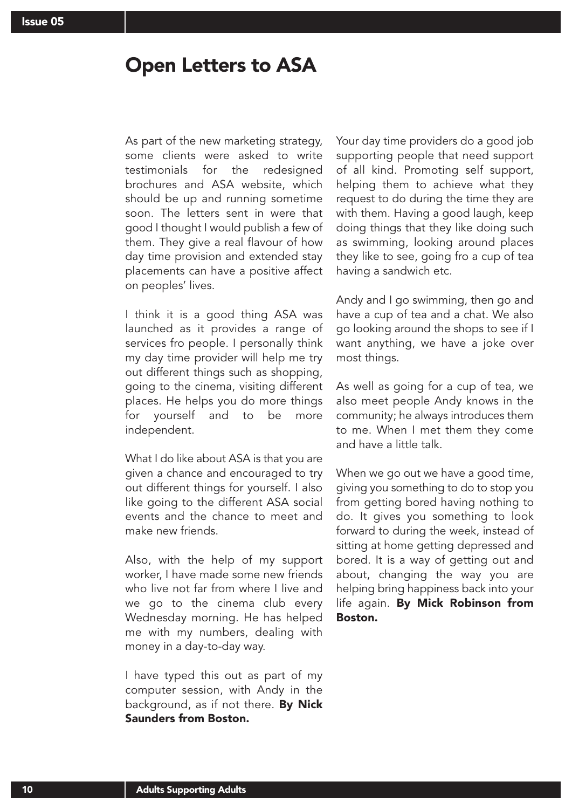### Open Letters to ASA

As part of the new marketing strategy, some clients were asked to write testimonials for the redesigned brochures and ASA website, which should be up and running sometime soon. The letters sent in were that good I thought I would publish a few of them. They give a real flavour of how day time provision and extended stay placements can have a positive affect on peoples' lives.

I think it is a good thing ASA was launched as it provides a range of services fro people. I personally think my day time provider will help me try out different things such as shopping, going to the cinema, visiting different places. He helps you do more things for yourself and to be more independent.

What I do like about ASA is that you are given a chance and encouraged to try out different things for yourself. I also like going to the different ASA social events and the chance to meet and make new friends.

Also, with the help of my support worker, I have made some new friends who live not far from where I live and we go to the cinema club every Wednesday morning. He has helped me with my numbers, dealing with money in a day-to-day way.

I have typed this out as part of my computer session, with Andy in the background, as if not there. By Nick Saunders from Boston.

Your day time providers do a good job supporting people that need support of all kind. Promoting self support, helping them to achieve what they request to do during the time they are with them. Having a good laugh, keep doing things that they like doing such as swimming, looking around places they like to see, going fro a cup of tea having a sandwich etc.

Andy and I go swimming, then go and have a cup of tea and a chat. We also go looking around the shops to see if I want anything, we have a joke over most things.

As well as going for a cup of tea, we also meet people Andy knows in the community; he always introduces them to me. When I met them they come and have a little talk.

When we go out we have a good time, giving you something to do to stop you from getting bored having nothing to do. It gives you something to look forward to during the week, instead of sitting at home getting depressed and bored. It is a way of getting out and about, changing the way you are helping bring happiness back into your life again. By Mick Robinson from Boston.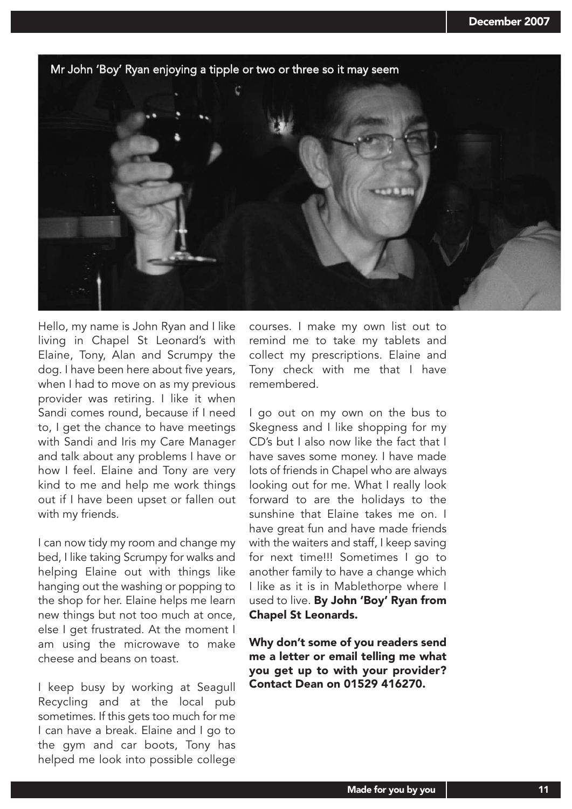

Hello, my name is John Ryan and I like living in Chapel St Leonard's with Elaine, Tony, Alan and Scrumpy the dog. I have been here about five years, when I had to move on as my previous provider was retiring. I like it when Sandi comes round, because if I need to, I get the chance to have meetings with Sandi and Iris my Care Manager and talk about any problems I have or how I feel. Elaine and Tony are very kind to me and help me work things out if I have been upset or fallen out with my friends.

I can now tidy my room and change my bed, I like taking Scrumpy for walks and helping Elaine out with things like hanging out the washing or popping to the shop for her. Elaine helps me learn new things but not too much at once, else I get frustrated. At the moment I am using the microwave to make cheese and beans on toast.

I keep busy by working at Seagull Recycling and at the local pub sometimes. If this gets too much for me I can have a break. Elaine and I go to the gym and car boots, Tony has helped me look into possible college

courses. I make my own list out to remind me to take my tablets and collect my prescriptions. Elaine and Tony check with me that I have remembered.

I go out on my own on the bus to Skegness and I like shopping for my CD's but I also now like the fact that I have saves some money. I have made lots of friends in Chapel who are always looking out for me. What I really look forward to are the holidays to the sunshine that Elaine takes me on. I have great fun and have made friends with the waiters and staff, I keep saving for next time!!! Sometimes I go to another family to have a change which I like as it is in Mablethorpe where I used to live. By John 'Boy' Ryan from Chapel St Leonards.

Why don't some of you readers send me a letter or email telling me what you get up to with your provider? Contact Dean on 01529 416270.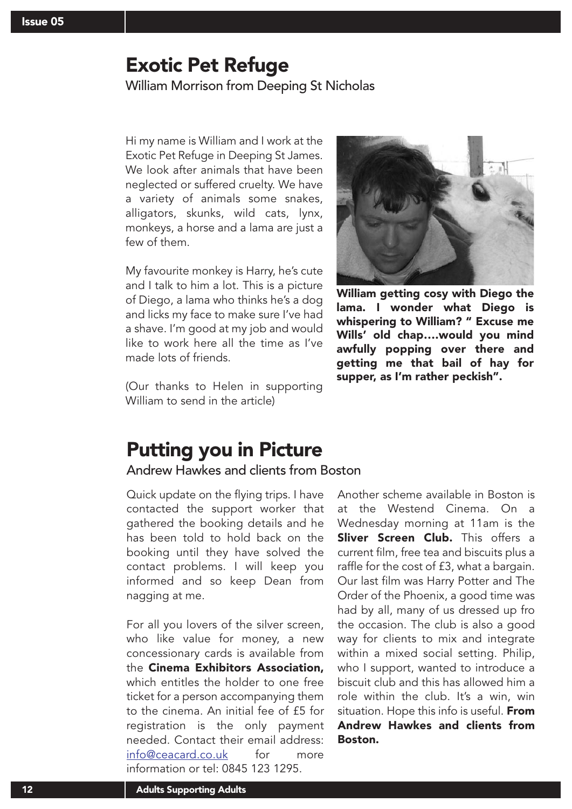### Exotic Pet Refuge

William Morrison from Deeping St Nicholas

Hi my name is William and I work at the Exotic Pet Refuge in Deeping St James. We look after animals that have been neglected or suffered cruelty. We have a variety of animals some snakes, alligators, skunks, wild cats, lynx, monkeys, a horse and a lama are just a few of them.

My favourite monkey is Harry, he's cute and I talk to him a lot. This is a picture of Diego, a lama who thinks he's a dog and licks my face to make sure I've had a shave. I'm good at my job and would like to work here all the time as I've made lots of friends.

(Our thanks to Helen in supporting William to send in the article)



William getting cosy with Diego the lama. I wonder what Diego is whispering to William? " Excuse me Wills' old chap….would you mind awfully popping over there and getting me that bail of hay for supper, as I'm rather peckish".

## Putting you in Picture

### Andrew Hawkes and clients from Boston

Quick update on the flying trips. I have contacted the support worker that gathered the booking details and he has been told to hold back on the booking until they have solved the contact problems. I will keep you informed and so keep Dean from nagging at me.

For all you lovers of the silver screen, who like value for money, a new concessionary cards is available from the Cinema Exhibitors Association, which entitles the holder to one free ticket for a person accompanying them to the cinema. An initial fee of £5 for registration is the only payment needed. Contact their email address: info@ceacard.co.uk for more information or tel: 0845 123 1295.

Another scheme available in Boston is at the Westend Cinema. On a Wednesday morning at 11am is the Sliver Screen Club. This offers a current film, free tea and biscuits plus a raffle for the cost of £3, what a bargain. Our last film was Harry Potter and The Order of the Phoenix, a good time was had by all, many of us dressed up fro the occasion. The club is also a good way for clients to mix and integrate within a mixed social setting. Philip, who I support, wanted to introduce a biscuit club and this has allowed him a role within the club. It's a win, win situation. Hope this info is useful. From Andrew Hawkes and clients from Boston.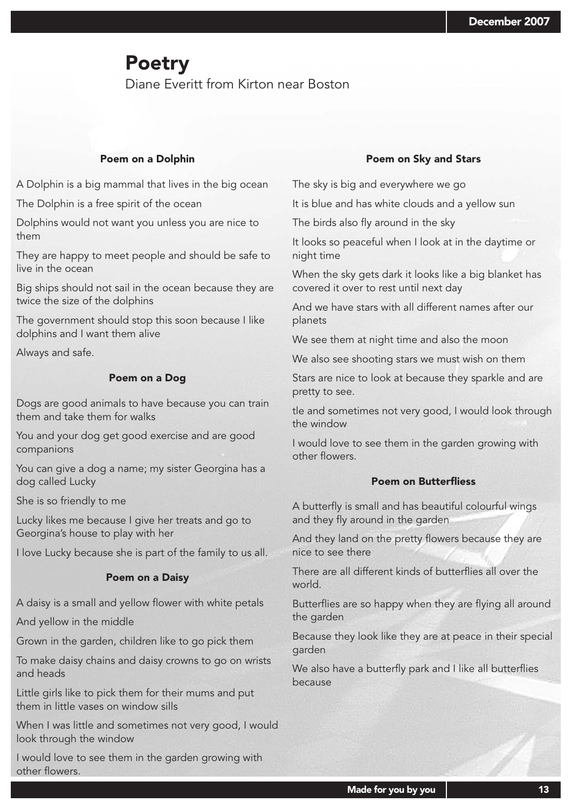### Poetry

Diane Everitt from Kirton near Boston

#### Poem on a Dolphin

A Dolphin is a big mammal that lives in the big ocean

The Dolphin is a free spirit of the ocean

Dolphins would not want you unless you are nice to them

They are happy to meet people and should be safe to live in the ocean

Big ships should not sail in the ocean because they are twice the size of the dolphins

The government should stop this soon because I like dolphins and I want them alive

Always and safe.

#### Poem on a Dog

Dogs are good animals to have because you can train them and take them for walks

You and your dog get good exercise and are good companions

You can give a dog a name; my sister Georgina has a dog called Lucky

She is so friendly to me

Lucky likes me because I give her treats and go to Georgina's house to play with her

I love Lucky because she is part of the family to us all.

#### Poem on a Daisy

A daisy is a small and yellow flower with white petals

And yellow in the middle

Grown in the garden, children like to go pick them

To make daisy chains and daisy crowns to go on wrists and heads

Little girls like to pick them for their mums and put them in little vases on window sills

When I was little and sometimes not very good, I would look through the window

I would love to see them in the garden growing with other flowers.

#### Poem on Sky and Stars

The sky is big and everywhere we go

It is blue and has white clouds and a yellow sun

The birds also fly around in the sky

It looks so peaceful when I look at in the daytime or night time

When the sky gets dark it looks like a big blanket has covered it over to rest until next day

And we have stars with all different names after our planets

We see them at night time and also the moon

We also see shooting stars we must wish on them

Stars are nice to look at because they sparkle and are pretty to see.

tle and sometimes not very good, I would look through the window

I would love to see them in the garden growing with other flowers.

#### Poem on Butterfliess

A butterfly is small and has beautiful colourful wings and they fly around in the garden

And they land on the pretty flowers because they are nice to see there

There are all different kinds of butterflies all over the world.

Butterflies are so happy when they are flying all around the garden

Because they look like they are at peace in their special garden

We also have a butterfly park and I like all butterflies because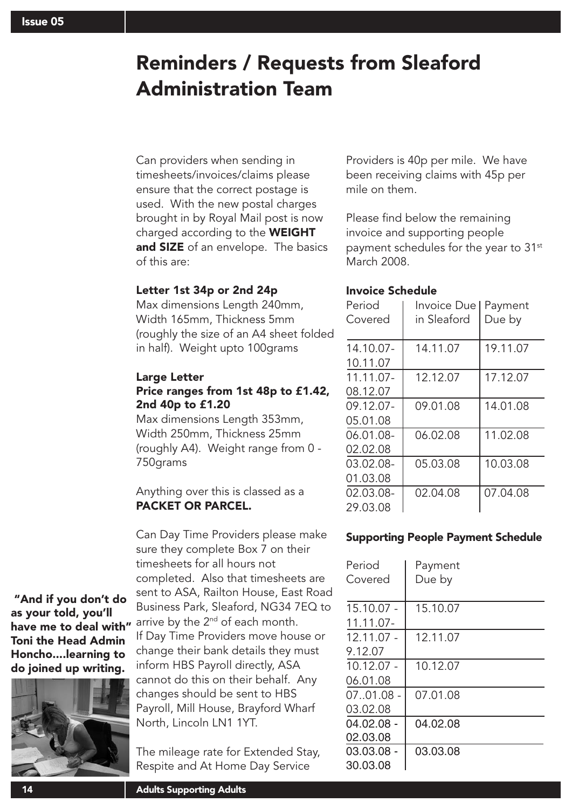# Reminders / Requests from Sleaford Administration Team

Can providers when sending in timesheets/invoices/claims please ensure that the correct postage is used. With the new postal charges brought in by Royal Mail post is now charged according to the WEIGHT and SIZE of an envelope. The basics of this are:

### Letter 1st 34p or 2nd 24p

Max dimensions Length 240mm, Width 165mm, Thickness 5mm (roughly the size of an A4 sheet folded in half). Weight upto 100grams

### Large Letter Price ranges from 1st 48p to £1.42, 2nd 40p to £1.20

Max dimensions Length 353mm, Width 250mm, Thickness 25mm (roughly A4). Weight range from 0 - 750grams

Anything over this is classed as a PACKET OR PARCEL.

Can Day Time Providers please make sure they complete Box 7 on their timesheets for all hours not completed. Also that timesheets are sent to ASA, Railton House, East Road Business Park, Sleaford, NG34 7EQ to arrive by the  $2<sup>nd</sup>$  of each month. If Day Time Providers move house or change their bank details they must inform HBS Payroll directly, ASA cannot do this on their behalf. Any changes should be sent to HBS Payroll, Mill House, Brayford Wharf North, Lincoln LN1 1YT.

The mileage rate for Extended Stay, Respite and At Home Day Service

Providers is 40p per mile. We have been receiving claims with 45p per mile on them.

Please find below the remaining invoice and supporting people payment schedules for the year to 31<sup>st</sup> March 2008.

### Invoice Schedule

| Period<br>Covered     | Invoice Due I<br>in Sleaford | Payment<br>Due by |
|-----------------------|------------------------------|-------------------|
| 14.10.07-<br>10.11.07 | 14.11.07                     | 19.11.07          |
| 11.11.07-<br>08.12.07 | 12.12.07                     | 17.12.07          |
| 09.12.07-<br>05.01.08 | 09.01.08                     | 14.01.08          |
| 06.01.08-<br>02.02.08 | 06.02.08                     | 11.02.08          |
| 03.02.08-<br>01.03.08 | 05.03.08                     | 10.03.08          |
| 02.03.08-<br>29.03.08 | 02.04.08                     | 07.04.08          |

### Supporting People Payment Schedule

| Period<br>Covered | Payment<br>Due by |  |
|-------------------|-------------------|--|
| $15.10.07 -$      | 15.10.07          |  |
| $11.11.07 -$      |                   |  |
| $12.11.07 -$      | 12.11.07          |  |
| 9.12.07           |                   |  |
| $10.12.07 -$      | 10.12.07          |  |
| 06.01.08          |                   |  |
| $07.01.08 -$      | 07.01.08          |  |
| 03.02.08          |                   |  |
| $04.02.08 -$      | 04.02.08          |  |
| 02.03.08          |                   |  |
| $03.03.08 -$      | 03.03.08          |  |
| 30.03.08          |                   |  |

"And if you don't do as your told, you'll have me to deal with" Toni the Head Admin Honcho....learning to do joined up writing.

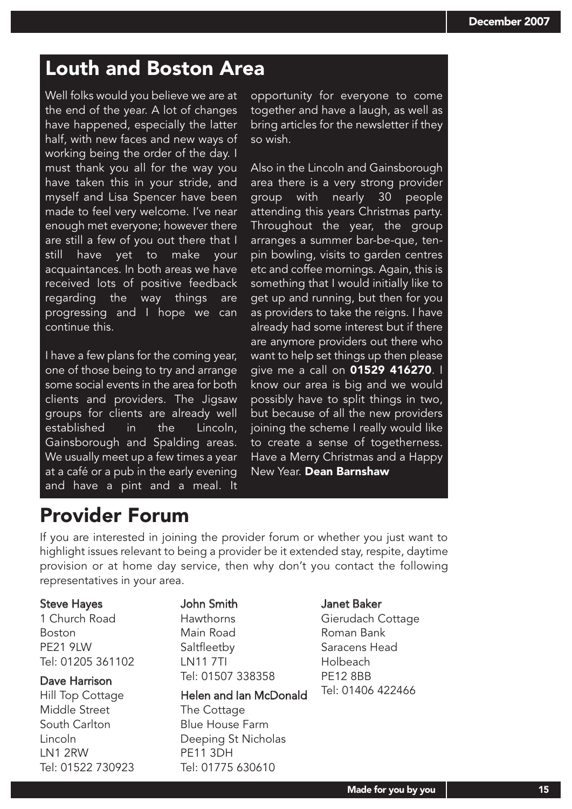## Louth and Boston Area

Well folks would you believe we are at the end of the year. A lot of changes have happened, especially the latter half, with new faces and new ways of working being the order of the day. I must thank you all for the way you have taken this in your stride, and myself and Lisa Spencer have been made to feel very welcome. I've near enough met everyone; however there are still a few of you out there that I still have yet to make your acquaintances. In both areas we have received lots of positive feedback regarding the way things are progressing and I hope we can continue this.

I have a few plans for the coming year, one of those being to try and arrange some social events in the area for both clients and providers. The Jigsaw groups for clients are already well established in the Lincoln, Gainsborough and Spalding areas. We usually meet up a few times a year at a café or a pub in the early evening and have a pint and a meal. It opportunity for everyone to come together and have a laugh, as well as bring articles for the newsletter if they so wish.

Also in the Lincoln and Gainsborough area there is a very strong provider group with nearly 30 people attending this years Christmas party. Throughout the year, the group arranges a summer bar-be-que, tenpin bowling, visits to garden centres etc and coffee mornings. Again, this is something that I would initially like to get up and running, but then for you as providers to take the reigns. I have already had some interest but if there are anymore providers out there who want to help set things up then please give me a call on 01529 416270. I know our area is big and we would possibly have to split things in two, but because of all the new providers joining the scheme I really would like to create a sense of togetherness. Have a Merry Christmas and a Happy New Year. Dean Barnshaw

## Provider Forum

If you are interested in joining the provider forum or whether you just want to highlight issues relevant to being a provider be it extended stay, respite, daytime provision or at home day service, then why don't you contact the following representatives in your area.

#### Steve Hayes

1 Church Road Boston PE21 9LW Tel: 01205 361102

### Dave Harrison

Hill Top Cottage Middle Street South Carlton Lincoln LN1 2RW Tel: 01522 730923

#### John Smith Hawthorns

Main Road **Saltfleetby** LN11 7TI Tel: 01507 338358

### Helen and Ian McDonald

The Cottage Blue House Farm Deeping St Nicholas PE11 3DH Tel: 01775 630610

#### Janet Baker

Gierudach Cottage Roman Bank Saracens Head Holbeach PE12 8BB Tel: 01406 422466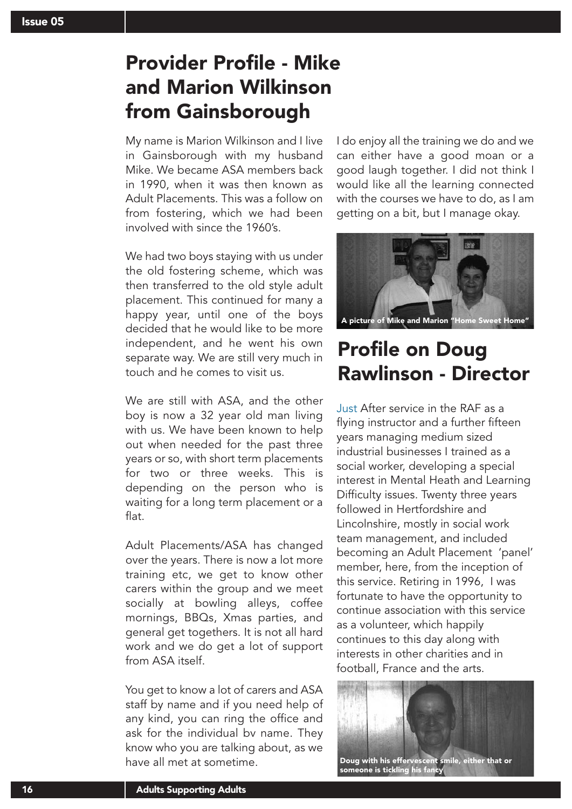## Provider Profile - Mike and Marion Wilkinson from Gainsborough

My name is Marion Wilkinson and I live in Gainsborough with my husband Mike. We became ASA members back in 1990, when it was then known as Adult Placements. This was a follow on from fostering, which we had been involved with since the 1960's.

We had two boys staying with us under the old fostering scheme, which was then transferred to the old style adult placement. This continued for many a happy year, until one of the boys decided that he would like to be more independent, and he went his own separate way. We are still very much in touch and he comes to visit us.

We are still with ASA, and the other boy is now a 32 year old man living with us. We have been known to help out when needed for the past three years or so, with short term placements for two or three weeks. This is depending on the person who is waiting for a long term placement or a flat.

Adult Placements/ASA has changed over the years. There is now a lot more training etc, we get to know other carers within the group and we meet socially at bowling alleys, coffee mornings, BBQs, Xmas parties, and general get togethers. It is not all hard work and we do get a lot of support from ASA itself.

You get to know a lot of carers and ASA staff by name and if you need help of any kind, you can ring the office and ask for the individual bv name. They know who you are talking about, as we have all met at sometime.

I do enjoy all the training we do and we can either have a good moan or a good laugh together. I did not think I would like all the learning connected with the courses we have to do, as I am getting on a bit, but I manage okay.



A picture of Mike and Marion "Home Sweet Home"

## Profile on Doug Rawlinson - Director

Just After service in the RAF as a flying instructor and a further fifteen years managing medium sized industrial businesses I trained as a social worker, developing a special interest in Mental Heath and Learning Difficulty issues. Twenty three years followed in Hertfordshire and Lincolnshire, mostly in social work team management, and included becoming an Adult Placement 'panel' member, here, from the inception of this service. Retiring in 1996, I was fortunate to have the opportunity to continue association with this service as a volunteer, which happily continues to this day along with interests in other charities and in football, France and the arts.

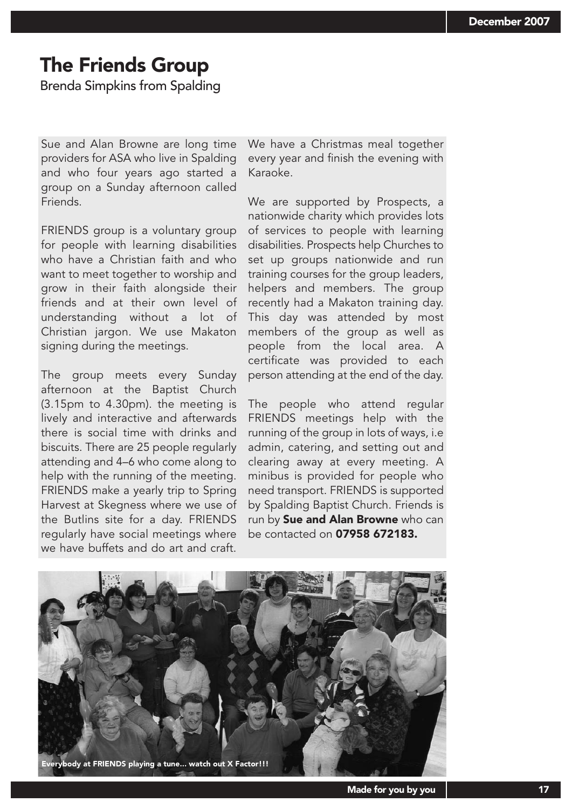## The Friends Group

Brenda Simpkins from Spalding

Sue and Alan Browne are long time providers for ASA who live in Spalding and who four years ago started a group on a Sunday afternoon called Friends.

FRIENDS group is a voluntary group for people with learning disabilities who have a Christian faith and who want to meet together to worship and grow in their faith alongside their friends and at their own level of understanding without a lot of Christian jargon. We use Makaton signing during the meetings.

The group meets every Sunday afternoon at the Baptist Church (3.15pm to 4.30pm). the meeting is lively and interactive and afterwards there is social time with drinks and biscuits. There are 25 people regularly attending and 4–6 who come along to help with the running of the meeting. FRIENDS make a yearly trip to Spring Harvest at Skegness where we use of the Butlins site for a day. FRIENDS regularly have social meetings where we have buffets and do art and craft.

We have a Christmas meal together every year and finish the evening with Karaoke.

We are supported by Prospects, a nationwide charity which provides lots of services to people with learning disabilities. Prospects help Churches to set up groups nationwide and run training courses for the group leaders, helpers and members. The group recently had a Makaton training day. This day was attended by most members of the group as well as people from the local area. A certificate was provided to each person attending at the end of the day.

The people who attend regular FRIENDS meetings help with the running of the group in lots of ways, i.e admin, catering, and setting out and clearing away at every meeting. A minibus is provided for people who need transport. FRIENDS is supported by Spalding Baptist Church. Friends is run by Sue and Alan Browne who can be contacted on 07958 672183.

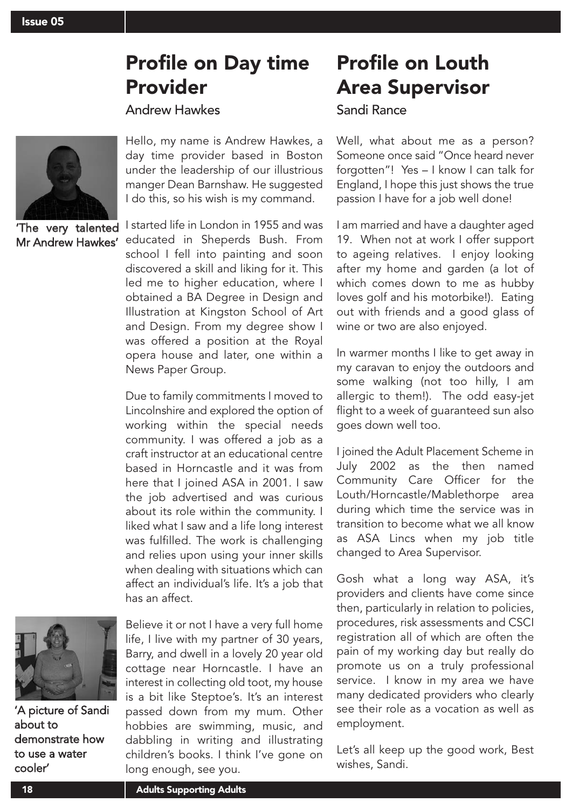## Profile on Day time Provider

### Andrew Hawkes



'The very talented Mr Andrew Hawkes'

Hello, my name is Andrew Hawkes, a day time provider based in Boston under the leadership of our illustrious manger Dean Barnshaw. He suggested I do this, so his wish is my command.

I started life in London in 1955 and was educated in Sheperds Bush. From school I fell into painting and soon discovered a skill and liking for it. This led me to higher education, where I obtained a BA Degree in Design and Illustration at Kingston School of Art and Design. From my degree show I was offered a position at the Royal opera house and later, one within a News Paper Group.

Due to family commitments I moved to Lincolnshire and explored the option of working within the special needs community. I was offered a job as a craft instructor at an educational centre based in Horncastle and it was from here that I joined ASA in 2001. I saw the job advertised and was curious about its role within the community. I liked what I saw and a life long interest was fulfilled. The work is challenging and relies upon using your inner skills when dealing with situations which can affect an individual's life. It's a job that has an affect.



'A picture of Sandi about to demonstrate how to use a water cooler'

Believe it or not I have a very full home life, I live with my partner of 30 years, Barry, and dwell in a lovely 20 year old cottage near Horncastle. I have an interest in collecting old toot, my house is a bit like Steptoe's. It's an interest passed down from my mum. Other hobbies are swimming, music, and dabbling in writing and illustrating children's books. I think I've gone on long enough, see you.

## Profile on Louth Area Supervisor

### Sandi Rance

Well, what about me as a person? Someone once said "Once heard never forgotten"! Yes – I know I can talk for England, I hope this just shows the true passion I have for a job well done!

I am married and have a daughter aged 19. When not at work I offer support to ageing relatives. I enjoy looking after my home and garden (a lot of which comes down to me as hubby loves golf and his motorbike!). Eating out with friends and a good glass of wine or two are also enjoyed.

In warmer months I like to get away in my caravan to enjoy the outdoors and some walking (not too hilly, I am allergic to them!). The odd easy-jet flight to a week of guaranteed sun also goes down well too.

I joined the Adult Placement Scheme in July 2002 as the then named Community Care Officer for the Louth/Horncastle/Mablethorpe area during which time the service was in transition to become what we all know as ASA Lincs when my job title changed to Area Supervisor.

Gosh what a long way ASA, it's providers and clients have come since then, particularly in relation to policies, procedures, risk assessments and CSCI registration all of which are often the pain of my working day but really do promote us on a truly professional service. I know in my area we have many dedicated providers who clearly see their role as a vocation as well as employment.

Let's all keep up the good work, Best wishes, Sandi.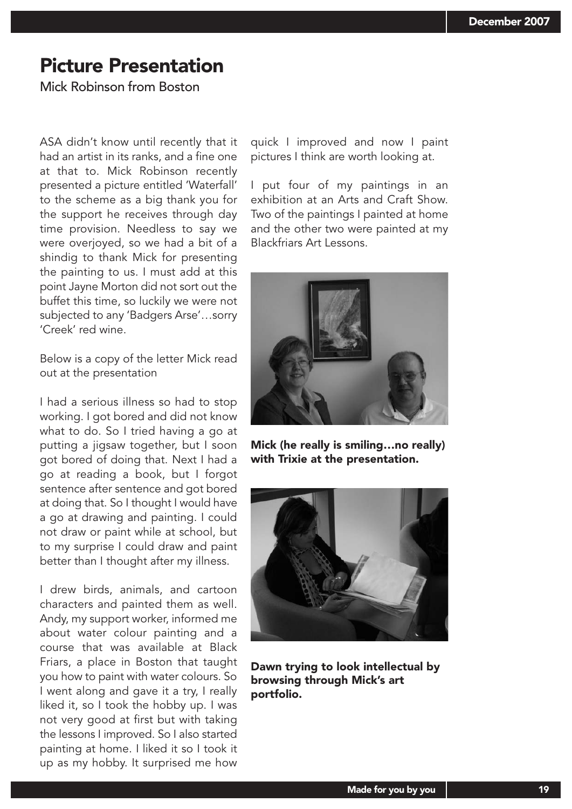### Picture Presentation

Mick Robinson from Boston

ASA didn't know until recently that it had an artist in its ranks, and a fine one at that to. Mick Robinson recently presented a picture entitled 'Waterfall' to the scheme as a big thank you for the support he receives through day time provision. Needless to say we were overjoyed, so we had a bit of a shindig to thank Mick for presenting the painting to us. I must add at this point Jayne Morton did not sort out the buffet this time, so luckily we were not subjected to any 'Badgers Arse'…sorry 'Creek' red wine.

Below is a copy of the letter Mick read out at the presentation

I had a serious illness so had to stop working. I got bored and did not know what to do. So I tried having a go at putting a jigsaw together, but I soon got bored of doing that. Next I had a go at reading a book, but I forgot sentence after sentence and got bored at doing that. So I thought I would have a go at drawing and painting. I could not draw or paint while at school, but to my surprise I could draw and paint better than I thought after my illness.

I drew birds, animals, and cartoon characters and painted them as well. Andy, my support worker, informed me about water colour painting and a course that was available at Black Friars, a place in Boston that taught you how to paint with water colours. So I went along and gave it a try, I really liked it, so I took the hobby up. I was not very good at first but with taking the lessons I improved. So I also started painting at home. I liked it so I took it up as my hobby. It surprised me how

quick I improved and now I paint pictures I think are worth looking at.

I put four of my paintings in an exhibition at an Arts and Craft Show. Two of the paintings I painted at home and the other two were painted at my Blackfriars Art Lessons.



Mick (he really is smiling…no really) with Trixie at the presentation.



Dawn trying to look intellectual by browsing through Mick's art portfolio.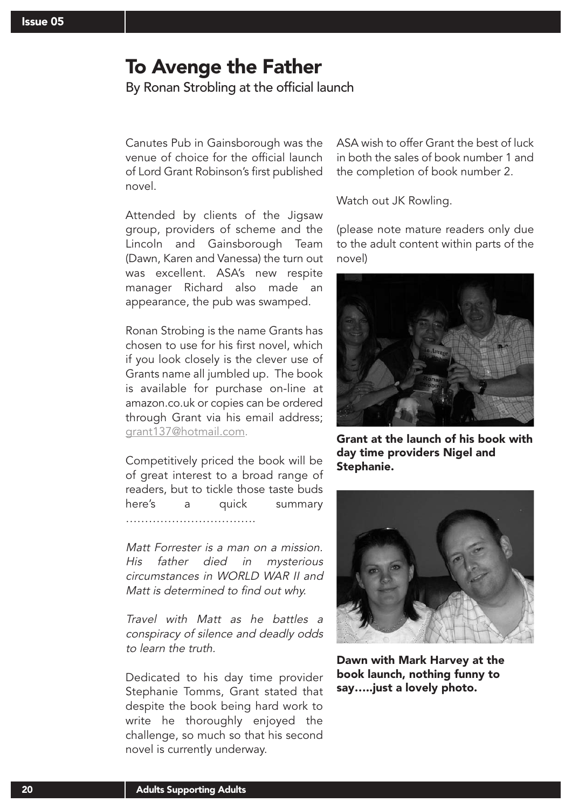### To Avenge the Father

By Ronan Strobling at the official launch

Canutes Pub in Gainsborough was the venue of choice for the official launch of Lord Grant Robinson's first published novel.

Attended by clients of the Jigsaw group, providers of scheme and the Lincoln and Gainsborough Team (Dawn, Karen and Vanessa) the turn out was excellent. ASA's new respite manager Richard also made an appearance, the pub was swamped.

Ronan Strobing is the name Grants has chosen to use for his first novel, which if you look closely is the clever use of Grants name all jumbled up. The book is available for purchase on-line at amazon.co.uk or copies can be ordered through Grant via his email address; grant137@hotmail.com.

Competitively priced the book will be of great interest to a broad range of readers, but to tickle those taste buds here's a quick summary …………………………….

Matt Forrester is a man on a mission. His father died in mysterious circumstances in WORLD WAR II and Matt is determined to find out why.

Travel with Matt as he battles a conspiracy of silence and deadly odds to learn the truth.

Dedicated to his day time provider Stephanie Tomms, Grant stated that despite the book being hard work to write he thoroughly enjoyed the challenge, so much so that his second novel is currently underway.

ASA wish to offer Grant the best of luck in both the sales of book number 1 and the completion of book number 2.

Watch out JK Rowling.

(please note mature readers only due to the adult content within parts of the novel)



Grant at the launch of his book with day time providers Nigel and Stephanie.



Dawn with Mark Harvey at the book launch, nothing funny to say…..just a lovely photo.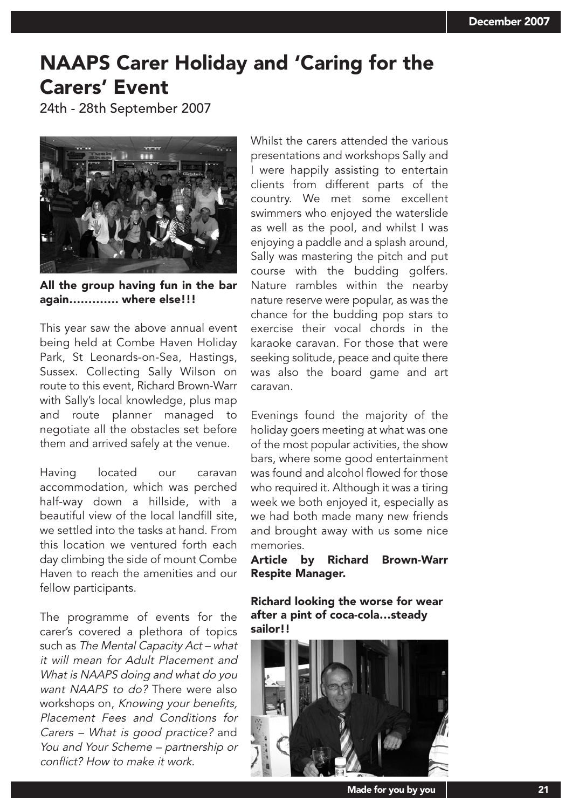## NAAPS Carer Holiday and 'Caring for the Carers' Event

24th - 28th September 2007



All the group having fun in the bar again…………. where else!!!

This year saw the above annual event being held at Combe Haven Holiday Park, St Leonards-on-Sea, Hastings, Sussex. Collecting Sally Wilson on route to this event, Richard Brown-Warr with Sally's local knowledge, plus map and route planner managed to negotiate all the obstacles set before them and arrived safely at the venue.

Having located our caravan accommodation, which was perched half-way down a hillside, with a beautiful view of the local landfill site, we settled into the tasks at hand. From this location we ventured forth each day climbing the side of mount Combe Haven to reach the amenities and our fellow participants.

The programme of events for the carer's covered a plethora of topics such as The Mental Capacity Act – what it will mean for Adult Placement and What is NAAPS doing and what do you want NAAPS to do? There were also workshops on, Knowing your benefits, Placement Fees and Conditions for Carers – What is good practice? and You and Your Scheme – partnership or conflict? How to make it work.

Whilst the carers attended the various presentations and workshops Sally and I were happily assisting to entertain clients from different parts of the country. We met some excellent swimmers who enjoyed the waterslide as well as the pool, and whilst I was enjoying a paddle and a splash around, Sally was mastering the pitch and put course with the budding golfers. Nature rambles within the nearby nature reserve were popular, as was the chance for the budding pop stars to exercise their vocal chords in the karaoke caravan. For those that were seeking solitude, peace and quite there was also the board game and art caravan.

Evenings found the majority of the holiday goers meeting at what was one of the most popular activities, the show bars, where some good entertainment was found and alcohol flowed for those who required it. Although it was a tiring week we both enjoyed it, especially as we had both made many new friends and brought away with us some nice memories.

Article by Richard Brown-Warr Respite Manager.

Richard looking the worse for wear after a pint of coca-cola…steady sailor!!



Made for you by you | and the state of the 21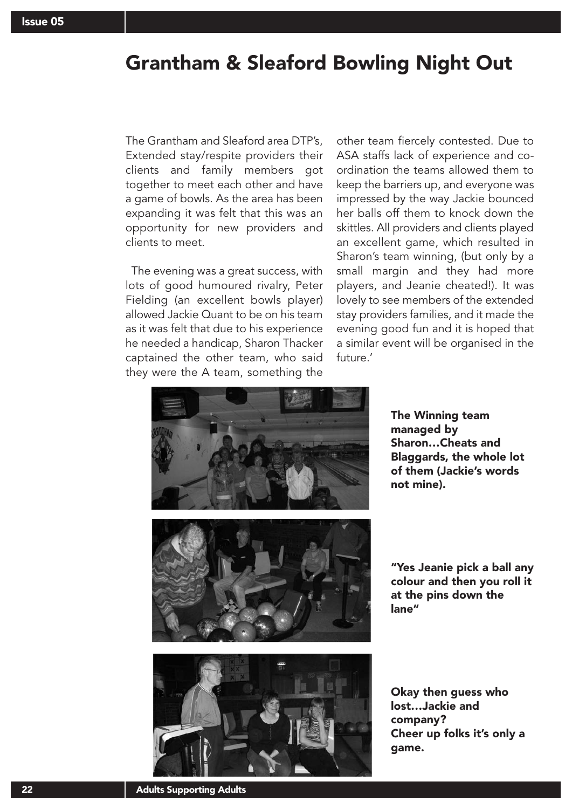## Grantham & Sleaford Bowling Night Out

The Grantham and Sleaford area DTP's, Extended stay/respite providers their clients and family members got together to meet each other and have a game of bowls. As the area has been expanding it was felt that this was an opportunity for new providers and clients to meet.

The evening was a great success, with lots of good humoured rivalry, Peter Fielding (an excellent bowls player) allowed Jackie Quant to be on his team as it was felt that due to his experience he needed a handicap, Sharon Thacker captained the other team, who said they were the A team, something the

other team fiercely contested. Due to ASA staffs lack of experience and coordination the teams allowed them to keep the barriers up, and everyone was impressed by the way Jackie bounced her balls off them to knock down the skittles. All providers and clients played an excellent game, which resulted in Sharon's team winning, (but only by a small margin and they had more players, and Jeanie cheated!). It was lovely to see members of the extended stay providers families, and it made the evening good fun and it is hoped that a similar event will be organised in the future.'



The Winning team managed by Sharon…Cheats and Blaggards, the whole lot of them (Jackie's words not mine).



"Yes Jeanie pick a ball any colour and then you roll it at the pins down the lane"



Okay then guess who lost…Jackie and company? Cheer up folks it's only a game.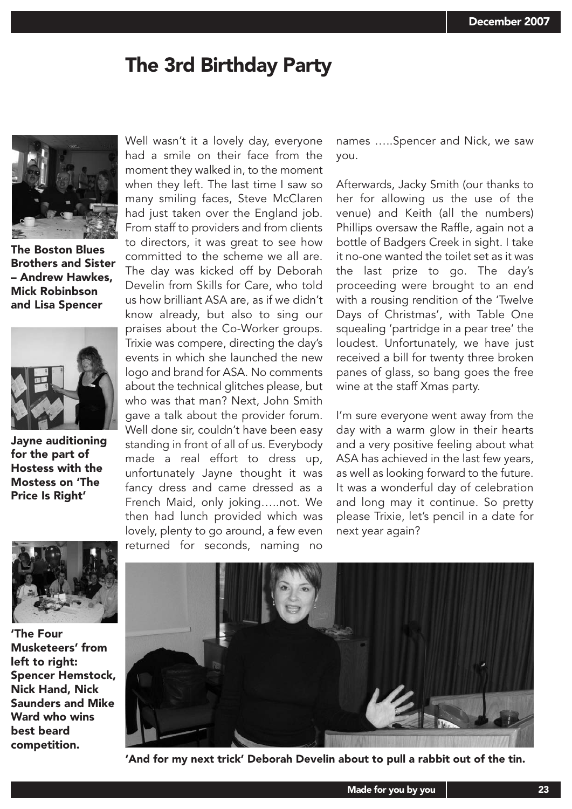## The 3rd Birthday Party



The Boston Blues Brothers and Sister – Andrew Hawkes, Mick Robinbson and Lisa Spencer



Jayne auditioning for the part of Hostess with the Mostess on 'The Price Is Right'

Well wasn't it a lovely day, everyone had a smile on their face from the moment they walked in, to the moment when they left. The last time I saw so many smiling faces, Steve McClaren had just taken over the England job. From staff to providers and from clients to directors, it was great to see how committed to the scheme we all are. The day was kicked off by Deborah Develin from Skills for Care, who told us how brilliant ASA are, as if we didn't know already, but also to sing our praises about the Co-Worker groups. Trixie was compere, directing the day's events in which she launched the new logo and brand for ASA. No comments about the technical glitches please, but who was that man? Next, John Smith gave a talk about the provider forum. Well done sir, couldn't have been easy standing in front of all of us. Everybody made a real effort to dress up, unfortunately Jayne thought it was fancy dress and came dressed as a French Maid, only joking…..not. We then had lunch provided which was lovely, plenty to go around, a few even returned for seconds, naming no

names …..Spencer and Nick, we saw you.

Afterwards, Jacky Smith (our thanks to her for allowing us the use of the venue) and Keith (all the numbers) Phillips oversaw the Raffle, again not a bottle of Badgers Creek in sight. I take it no-one wanted the toilet set as it was the last prize to go. The day's proceeding were brought to an end with a rousing rendition of the 'Twelve Days of Christmas', with Table One squealing 'partridge in a pear tree' the loudest. Unfortunately, we have just received a bill for twenty three broken panes of glass, so bang goes the free wine at the staff Xmas party.

I'm sure everyone went away from the day with a warm glow in their hearts and a very positive feeling about what ASA has achieved in the last few years, as well as looking forward to the future. It was a wonderful day of celebration and long may it continue. So pretty please Trixie, let's pencil in a date for next year again?



'The Four Musketeers' from left to right: Spencer Hemstock, Nick Hand, Nick Saunders and Mike Ward who wins best beard competition.



'And for my next trick' Deborah Develin about to pull a rabbit out of the tin.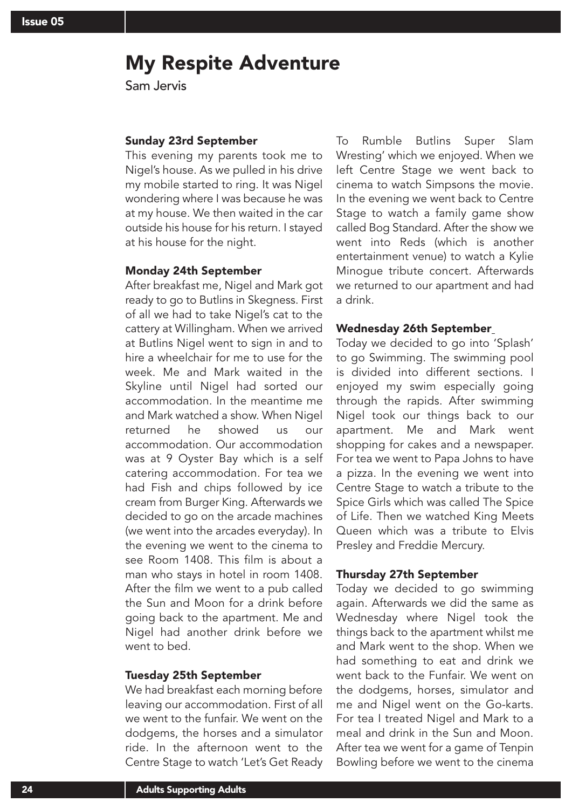## My Respite Adventure

Sam Jervis

#### Sunday 23rd September

This evening my parents took me to Nigel's house. As we pulled in his drive my mobile started to ring. It was Nigel wondering where I was because he was at my house. We then waited in the car outside his house for his return. I stayed at his house for the night.

#### Monday 24th September

After breakfast me, Nigel and Mark got ready to go to Butlins in Skegness. First of all we had to take Nigel's cat to the cattery at Willingham. When we arrived at Butlins Nigel went to sign in and to hire a wheelchair for me to use for the week. Me and Mark waited in the Skyline until Nigel had sorted our accommodation. In the meantime me and Mark watched a show. When Nigel returned he showed us our accommodation. Our accommodation was at 9 Oyster Bay which is a self catering accommodation. For tea we had Fish and chips followed by ice cream from Burger King. Afterwards we decided to go on the arcade machines (we went into the arcades everyday). In the evening we went to the cinema to see Room 1408. This film is about a man who stays in hotel in room 1408. After the film we went to a pub called the Sun and Moon for a drink before going back to the apartment. Me and Nigel had another drink before we went to bed.

#### Tuesday 25th September

We had breakfast each morning before leaving our accommodation. First of all we went to the funfair. We went on the dodgems, the horses and a simulator ride. In the afternoon went to the Centre Stage to watch 'Let's Get Ready To Rumble Butlins Super Slam Wresting' which we enjoyed. When we left Centre Stage we went back to cinema to watch Simpsons the movie. In the evening we went back to Centre Stage to watch a family game show called Bog Standard. After the show we went into Reds (which is another entertainment venue) to watch a Kylie Minogue tribute concert. Afterwards we returned to our apartment and had a drink.

#### Wednesday 26th September

Today we decided to go into 'Splash' to go Swimming. The swimming pool is divided into different sections. I enjoyed my swim especially going through the rapids. After swimming Nigel took our things back to our apartment. Me and Mark went shopping for cakes and a newspaper. For tea we went to Papa Johns to have a pizza. In the evening we went into Centre Stage to watch a tribute to the Spice Girls which was called The Spice of Life. Then we watched King Meets Queen which was a tribute to Elvis Presley and Freddie Mercury.

#### Thursday 27th September

Today we decided to go swimming again. Afterwards we did the same as Wednesday where Nigel took the things back to the apartment whilst me and Mark went to the shop. When we had something to eat and drink we went back to the Funfair. We went on the dodgems, horses, simulator and me and Nigel went on the Go-karts. For tea I treated Nigel and Mark to a meal and drink in the Sun and Moon. After tea we went for a game of Tenpin Bowling before we went to the cinema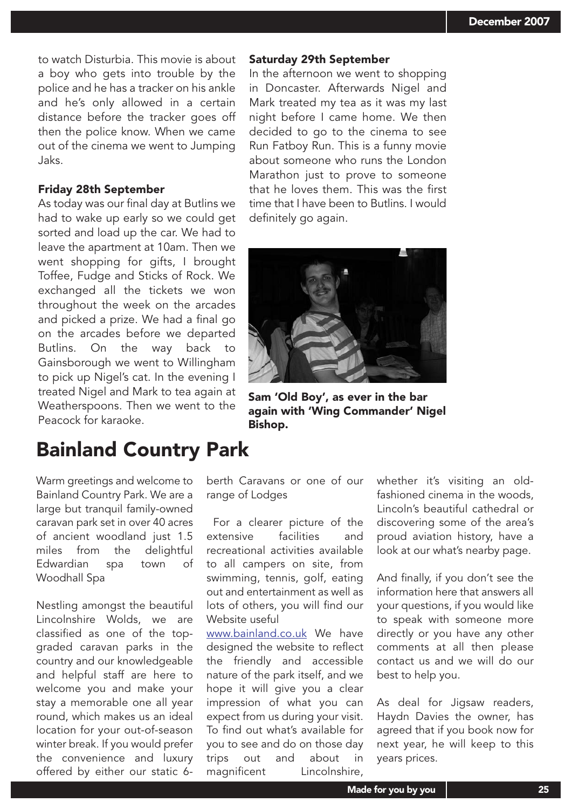to watch Disturbia. This movie is about a boy who gets into trouble by the police and he has a tracker on his ankle and he's only allowed in a certain distance before the tracker goes off then the police know. When we came out of the cinema we went to Jumping Jaks.

#### Friday 28th September

As today was our final day at Butlins we had to wake up early so we could get sorted and load up the car. We had to leave the apartment at 10am. Then we went shopping for gifts, I brought Toffee, Fudge and Sticks of Rock. We exchanged all the tickets we won throughout the week on the arcades and picked a prize. We had a final go on the arcades before we departed Butlins. On the way back to Gainsborough we went to Willingham to pick up Nigel's cat. In the evening I treated Nigel and Mark to tea again at Weatherspoons. Then we went to the Peacock for karaoke.

## Bainland Country Park

Warm greetings and welcome to Bainland Country Park. We are a large but tranquil family-owned caravan park set in over 40 acres of ancient woodland just 1.5 miles from the delightful Edwardian spa town of Woodhall Spa

Nestling amongst the beautiful Lincolnshire Wolds, we are classified as one of the topgraded caravan parks in the country and our knowledgeable and helpful staff are here to welcome you and make your stay a memorable one all year round, which makes us an ideal location for your out-of-season winter break. If you would prefer the convenience and luxury offered by either our static 6berth Caravans or one of our range of Lodges

Bishop.

For a clearer picture of the extensive facilities and recreational activities available to all campers on site, from swimming, tennis, golf, eating out and entertainment as well as lots of others, you will find our Website useful

www.bainland.co.uk We have designed the website to reflect the friendly and accessible nature of the park itself, and we hope it will give you a clear impression of what you can expect from us during your visit. To find out what's available for you to see and do on those day trips out and about in magnificent Lincolnshire,

whether it's visiting an oldfashioned cinema in the woods, Lincoln's beautiful cathedral or discovering some of the area's proud aviation history, have a look at our what's nearby page.

And finally, if you don't see the information here that answers all your questions, if you would like to speak with someone more directly or you have any other comments at all then please contact us and we will do our best to help you.

As deal for Jigsaw readers, Haydn Davies the owner, has agreed that if you book now for next year, he will keep to this years prices.



again with 'Wing Commander' Nigel

Saturday 29th September

definitely go again.

In the afternoon we went to shopping in Doncaster. Afterwards Nigel and Mark treated my tea as it was my last night before I came home. We then decided to go to the cinema to see Run Fatboy Run. This is a funny movie about someone who runs the London Marathon just to prove to someone that he loves them. This was the first time that I have been to Butlins. I would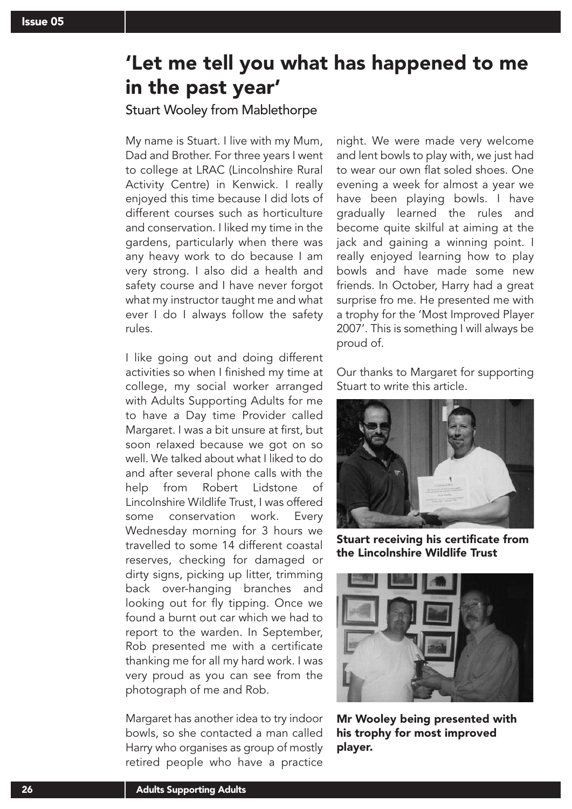## 'Let me tell you what has happened to me in the past year'

### Stuart Wooley from Mablethorpe

My name is Stuart. I live with my Mum, Dad and Brother. For three years I went to college at LRAC (Lincolnshire Rural Activity Centre) in Kenwick. I really enjoyed this time because I did lots of different courses such as horticulture and conservation. I liked my time in the gardens, particularly when there was any heavy work to do because I am very strong. I also did a health and safety course and I have never forgot what my instructor taught me and what ever I do I always follow the safety rules.

I like going out and doing different activities so when I finished my time at college, my social worker arranged with Adults Supporting Adults for me to have a Day time Provider called Margaret. I was a bit unsure at first, but soon relaxed because we got on so well. We talked about what I liked to do and after several phone calls with the help from Robert Lidstone of Lincolnshire Wildlife Trust, I was offered some conservation work. Every Wednesday morning for 3 hours we travelled to some 14 different coastal reserves, checking for damaged or dirty signs, picking up litter, trimming back over-hanging branches and looking out for fly tipping. Once we found a burnt out car which we had to report to the warden. In September, Rob presented me with a certificate thanking me for all my hard work. I was very proud as you can see from the photograph of me and Rob.

Margaret has another idea to try indoor bowls, so she contacted a man called Harry who organises as group of mostly retired people who have a practice

night. We were made very welcome and lent bowls to play with, we just had to wear our own flat soled shoes. One evening a week for almost a year we have been playing bowls. I have gradually learned the rules and become quite skilful at aiming at the jack and gaining a winning point. I really enjoyed learning how to play bowls and have made some new friends. In October, Harry had a great surprise fro me. He presented me with a trophy for the 'Most Improved Player 2007'. This is something I will always be proud of.

Our thanks to Margaret for supporting Stuart to write this article.



Stuart receiving his certificate from the Lincolnshire Wildlife Trust



Mr Wooley being presented with his trophy for most improved player.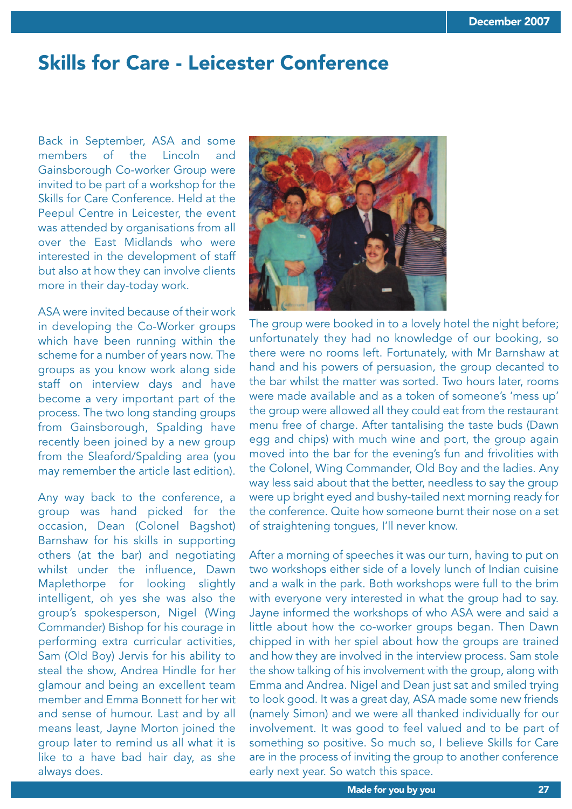## Skills for Care - Leicester Conference

Back in September, ASA and some members of the Lincoln and Gainsborough Co-worker Group were invited to be part of a workshop for the Skills for Care Conference. Held at the Peepul Centre in Leicester, the event was attended by organisations from all over the East Midlands who were interested in the development of staff but also at how they can involve clients more in their day-today work.

ASA were invited because of their work in developing the Co-Worker groups which have been running within the scheme for a number of years now. The groups as you know work along side staff on interview days and have become a very important part of the process. The two long standing groups from Gainsborough, Spalding have recently been joined by a new group from the Sleaford/Spalding area (you may remember the article last edition).

Any way back to the conference, a group was hand picked for the occasion, Dean (Colonel Bagshot) Barnshaw for his skills in supporting others (at the bar) and negotiating whilst under the influence, Dawn Maplethorpe for looking slightly intelligent, oh yes she was also the group's spokesperson, Nigel (Wing Commander) Bishop for his courage in performing extra curricular activities, Sam (Old Boy) Jervis for his ability to steal the show, Andrea Hindle for her glamour and being an excellent team member and Emma Bonnett for her wit and sense of humour. Last and by all means least, Jayne Morton joined the group later to remind us all what it is like to a have bad hair day, as she always does.



The group were booked in to a lovely hotel the night before; unfortunately they had no knowledge of our booking, so there were no rooms left. Fortunately, with Mr Barnshaw at hand and his powers of persuasion, the group decanted to the bar whilst the matter was sorted. Two hours later, rooms were made available and as a token of someone's 'mess up' the group were allowed all they could eat from the restaurant menu free of charge. After tantalising the taste buds (Dawn egg and chips) with much wine and port, the group again moved into the bar for the evening's fun and frivolities with the Colonel, Wing Commander, Old Boy and the ladies. Any way less said about that the better, needless to say the group were up bright eyed and bushy-tailed next morning ready for the conference. Quite how someone burnt their nose on a set of straightening tongues, I'll never know.

After a morning of speeches it was our turn, having to put on two workshops either side of a lovely lunch of Indian cuisine and a walk in the park. Both workshops were full to the brim with everyone very interested in what the group had to say. Jayne informed the workshops of who ASA were and said a little about how the co-worker groups began. Then Dawn chipped in with her spiel about how the groups are trained and how they are involved in the interview process. Sam stole the show talking of his involvement with the group, along with Emma and Andrea. Nigel and Dean just sat and smiled trying to look good. It was a great day, ASA made some new friends (namely Simon) and we were all thanked individually for our involvement. It was good to feel valued and to be part of something so positive. So much so, I believe Skills for Care are in the process of inviting the group to another conference early next year. So watch this space.